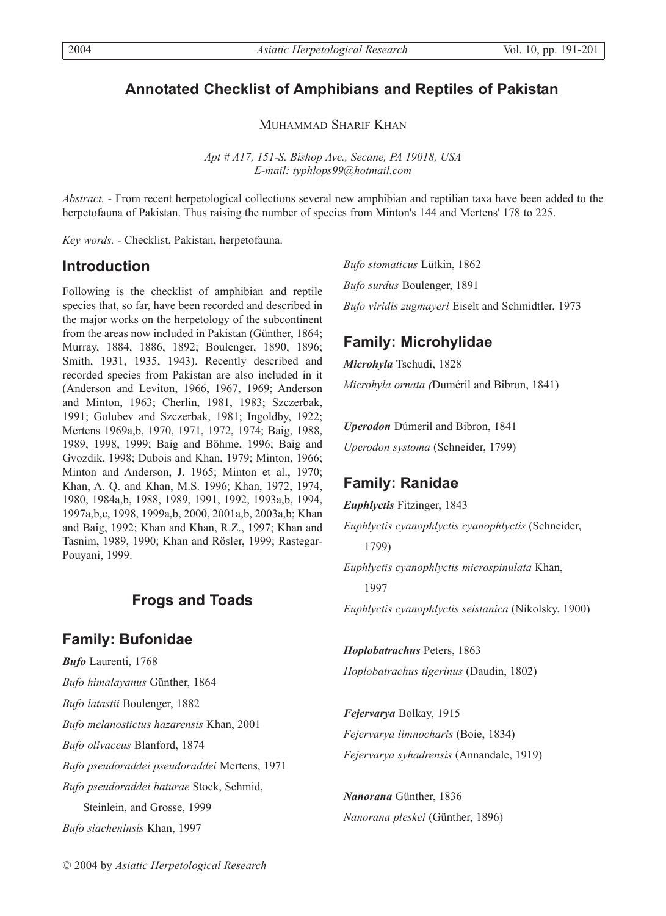### **Annotated Checklist of Amphibians and Reptiles of Pakistan**

MUHAMMAD SHARIF KHAN

*Apt # A17, 151-S. Bishop Ave., Secane, PA 19018, USA E-mail: typhlops99@hotmail.com*

*Abstract. -* From recent herpetological collections several new amphibian and reptilian taxa have been added to the herpetofauna of Pakistan. Thus raising the number of species from Minton's 144 and Mertens' 178 to 225.

*Key words. -* Checklist, Pakistan, herpetofauna.

#### **Introduction**

Following is the checklist of amphibian and reptile species that, so far, have been recorded and described in the major works on the herpetology of the subcontinent from the areas now included in Pakistan (Günther, 1864; Murray, 1884, 1886, 1892; Boulenger, 1890, 1896; Smith, 1931, 1935, 1943). Recently described and recorded species from Pakistan are also included in it (Anderson and Leviton, 1966, 1967, 1969; Anderson and Minton, 1963; Cherlin, 1981, 1983; Szczerbak, 1991; Golubev and Szczerbak, 1981; Ingoldby, 1922; Mertens 1969a,b, 1970, 1971, 1972, 1974; Baig, 1988, 1989, 1998, 1999; Baig and Böhme, 1996; Baig and Gvozdik, 1998; Dubois and Khan, 1979; Minton, 1966; Minton and Anderson, J. 1965; Minton et al., 1970; Khan, A. Q. and Khan, M.S. 1996; Khan, 1972, 1974, 1980, 1984a,b, 1988, 1989, 1991, 1992, 1993a,b, 1994, 1997a,b,c, 1998, 1999a,b, 2000, 2001a,b, 2003a,b; Khan and Baig, 1992; Khan and Khan, R.Z., 1997; Khan and Tasnim, 1989, 1990; Khan and Rösler, 1999; Rastegar-Pouyani, 1999.

### **Frogs and Toads**

#### **Family: Bufonidae**

*Bufo* Laurenti, 1768 *Bufo himalayanus* Günther, 1864 *Bufo latastii* Boulenger, 1882 *Bufo melanostictus hazarensis* Khan, 2001 *Bufo olivaceus* Blanford, 1874 *Bufo pseudoraddei pseudoraddei* Mertens, 1971 *Bufo pseudoraddei baturae* Stock, Schmid, Steinlein, and Grosse, 1999

*Bufo siacheninsis* Khan, 1997

*Bufo stomaticus* Lütkin, 1862 *Bufo surdus* Boulenger, 1891 *Bufo viridis zugmayeri* Eiselt and Schmidtler, 1973

### **Family: Microhylidae**

*Microhyla* Tschudi, 1828 *Microhyla ornata (*Duméril and Bibron, 1841)

*Uperodon* Dúmeril and Bibron, 1841

*Uperodon systoma* (Schneider, 1799)

### **Family: Ranidae**

*Euphlyctis* Fitzinger, 1843

*Euphlyctis cyanophlyctis cyanophlyctis* (Schneider,

1799)

*Euphlyctis cyanophlyctis microspinulata* Khan, 1997

*Euphlyctis cyanophlyctis seistanica* (Nikolsky, 1900)

*Hoplobatrachus* Peters, 1863 *Hoplobatrachus tigerinus* (Daudin, 1802)

*Fejervarya* Bolkay, 1915 *Fejervarya limnocharis* (Boie, 1834) *Fejervarya syhadrensis* (Annandale, 1919)

*Nanorana* Günther, 1836 *Nanorana pleskei* (Günther, 1896)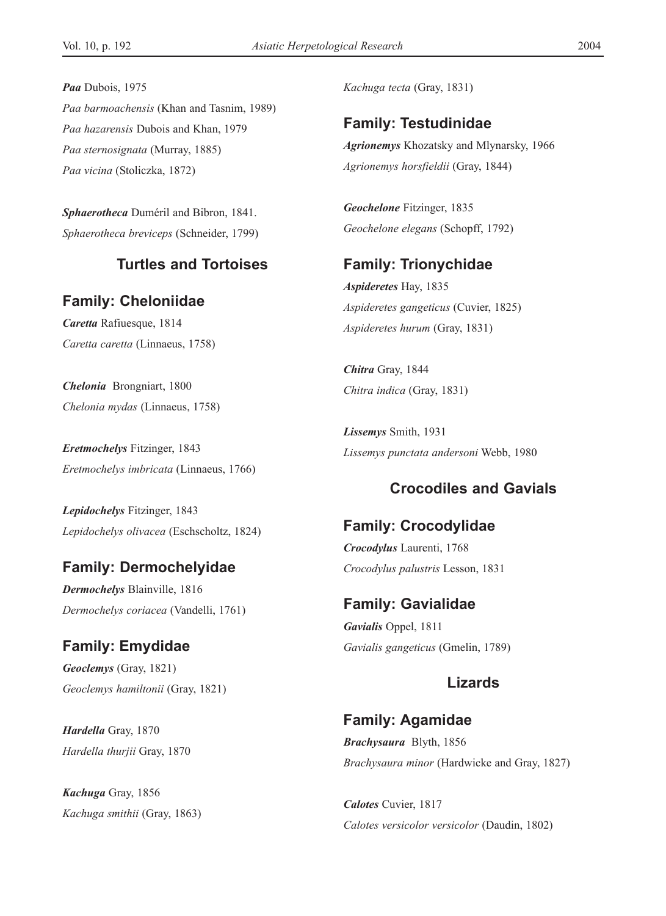*Paa* Dubois, 1975 *Paa barmoachensis* (Khan and Tasnim, 1989) *Paa hazarensis* Dubois and Khan, 1979 *Paa sternosignata* (Murray, 1885) *Paa vicina* (Stoliczka, 1872)

*Sphaerotheca* Duméril and Bibron, 1841. *Sphaerotheca breviceps* (Schneider, 1799)

#### **Turtles and Tortoises**

#### **Family: Cheloniidae**

*Caretta* Rafiuesque, 1814 *Caretta caretta* (Linnaeus, 1758)

*Chelonia* Brongniart, 1800 *Chelonia mydas* (Linnaeus, 1758)

*Eretmochelys* Fitzinger, 1843 *Eretmochelys imbricata* (Linnaeus, 1766)

*Lepidochelys* Fitzinger, 1843 *Lepidochelys olivacea* (Eschscholtz, 1824)

### **Family: Dermochelyidae**

*Dermochelys* Blainville, 1816 *Dermochelys coriacea* (Vandelli, 1761)

# **Family: Emydidae**

*Geoclemys* (Gray, 1821) *Geoclemys hamiltonii* (Gray, 1821)

*Hardella* Gray, 1870 *Hardella thurjii* Gray, 1870

*Kachuga* Gray, 1856 *Kachuga smithii* (Gray, 1863) *Kachuga tecta* (Gray, 1831)

#### **Family: Testudinidae**

*Agrionemys* Khozatsky and Mlynarsky, 1966 *Agrionemys horsfieldii* (Gray, 1844)

*Geochelone* Fitzinger, 1835 *Geochelone elegans* (Schopff, 1792)

#### **Family: Trionychidae**

*Aspideretes* Hay, 1835 *Aspideretes gangeticus* (Cuvier, 1825) *Aspideretes hurum* (Gray, 1831)

*Chitra* Gray, 1844 *Chitra indica* (Gray, 1831)

*Lissemys* Smith, 1931 *Lissemys punctata andersoni* Webb, 1980

#### **Crocodiles and Gavials**

**Family: Crocodylidae** *Crocodylus* Laurenti, 1768 *Crocodylus palustris* Lesson, 1831

**Family: Gavialidae**  *Gavialis* Oppel, 1811 *Gavialis gangeticus* (Gmelin, 1789)

## **Lizards**

**Family: Agamidae**  *Brachysaura* Blyth, 1856 *Brachysaura minor* (Hardwicke and Gray, 1827)

*Calotes* Cuvier, 1817 *Calotes versicolor versicolor* (Daudin, 1802)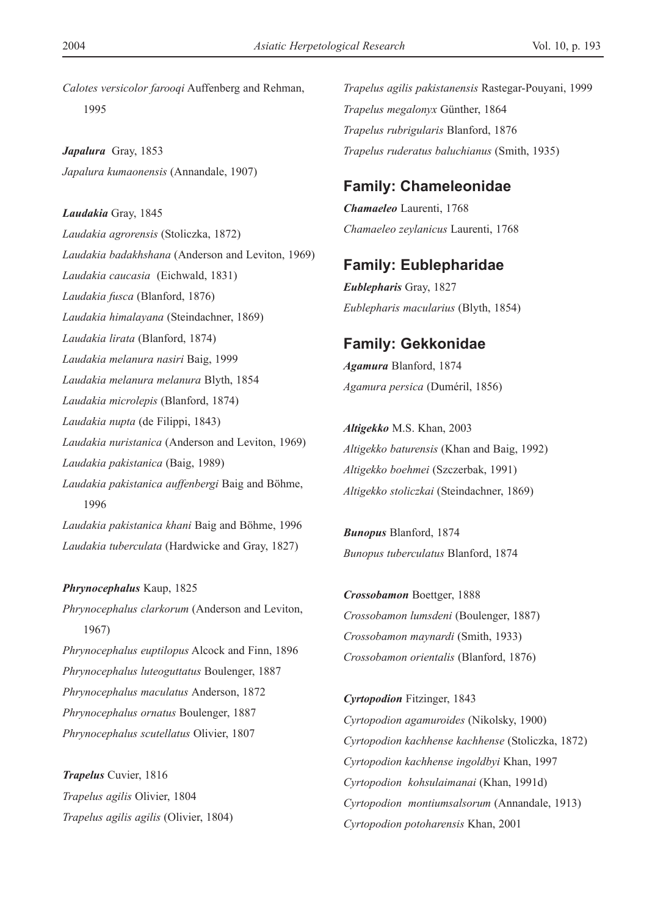*Calotes versicolor farooqi* Auffenberg and Rehman, 1995

*Japalura* Gray, 1853 *Japalura kumaonensis* (Annandale, 1907)

*Laudakia* Gray, 1845 *Laudakia agrorensis* (Stoliczka, 1872) *Laudakia badakhshana* (Anderson and Leviton, 1969) *Laudakia caucasia* (Eichwald, 1831) *Laudakia fusca* (Blanford, 1876) *Laudakia himalayana* (Steindachner, 1869) *Laudakia lirata* (Blanford, 1874) *Laudakia melanura nasiri* Baig, 1999 *Laudakia melanura melanura* Blyth, 1854 *Laudakia microlepis* (Blanford, 1874) *Laudakia nupta* (de Filippi, 1843) *Laudakia nuristanica* (Anderson and Leviton, 1969) *Laudakia pakistanica* (Baig, 1989) *Laudakia pakistanica auffenbergi* Baig and Böhme, 1996 *Laudakia pakistanica khani* Baig and Böhme, 1996

*Laudakia tuberculata* (Hardwicke and Gray, 1827)

*Phrynocephalus* Kaup, 1825 *Phrynocephalus clarkorum* (Anderson and Leviton, 1967) *Phrynocephalus euptilopus* Alcock and Finn, 1896 *Phrynocephalus luteoguttatus* Boulenger, 1887 *Phrynocephalus maculatus* Anderson, 1872

*Phrynocephalus ornatus* Boulenger, 1887 *Phrynocephalus scutellatus* Olivier, 1807

*Trapelus* Cuvier, 1816 *Trapelus agilis* Olivier, 1804 *Trapelus agilis agilis* (Olivier, 1804) *Trapelus agilis pakistanensis* Rastegar-Pouyani, 1999 *Trapelus megalonyx* Günther, 1864 *Trapelus rubrigularis* Blanford, 1876 *Trapelus ruderatus baluchianus* (Smith, 1935)

### **Family: Chameleonidae**

*Chamaeleo* Laurenti, 1768 *Chamaeleo zeylanicus* Laurenti, 1768

#### **Family: Eublepharidae**

*Eublepharis* Gray, 1827 *Eublepharis macularius* (Blyth, 1854)

### **Family: Gekkonidae**

*Agamura* Blanford, 1874 *Agamura persica* (Duméril, 1856)

*Altigekko* M.S. Khan, 2003 *Altigekko baturensis* (Khan and Baig, 1992) *Altigekko boehmei* (Szczerbak, 1991) *Altigekko stoliczkai* (Steindachner, 1869)

*Bunopus* Blanford, 1874 *Bunopus tuberculatus* Blanford, 1874

*Crossobamon* Boettger, 1888 *Crossobamon lumsdeni* (Boulenger, 1887) *Crossobamon maynardi* (Smith, 1933) *Crossobamon orientalis* (Blanford, 1876)

*Cyrtopodion* Fitzinger, 1843 *Cyrtopodion agamuroides* (Nikolsky, 1900) *Cyrtopodion kachhense kachhense* (Stoliczka, 1872) *Cyrtopodion kachhense ingoldbyi* Khan, 1997 *Cyrtopodion kohsulaimanai* (Khan, 1991d) *Cyrtopodion montiumsalsorum* (Annandale, 1913) *Cyrtopodion potoharensis* Khan, 2001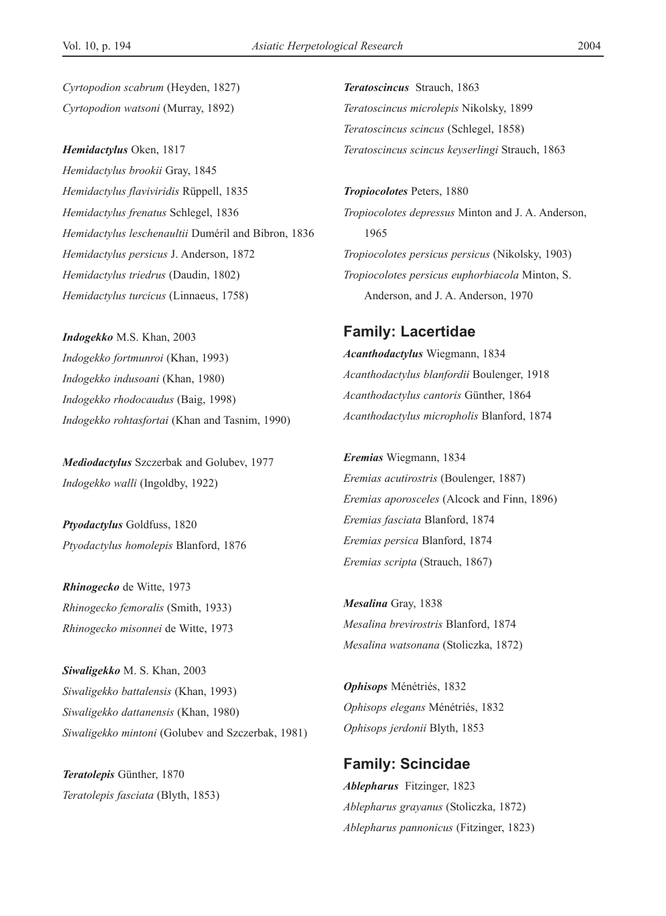*Cyrtopodion scabrum* (Heyden, 1827) *Cyrtopodion watsoni* (Murray, 1892)

*Hemidactylus* Oken, 1817 *Hemidactylus brookii* Gray, 1845 *Hemidactylus flaviviridis* Rüppell, 1835 *Hemidactylus frenatus* Schlegel, 1836 *Hemidactylus leschenaultii* Duméril and Bibron, 1836 *Hemidactylus persicus* J. Anderson, 1872 *Hemidactylus triedrus* (Daudin, 1802) *Hemidactylus turcicus* (Linnaeus, 1758)

*Indogekko* M.S. Khan, 2003 *Indogekko fortmunroi* (Khan, 1993) *Indogekko indusoani* (Khan, 1980) *Indogekko rhodocaudus* (Baig, 1998) *Indogekko rohtasfortai* (Khan and Tasnim, 1990)

*Mediodactylus* Szczerbak and Golubev, 1977 *Indogekko walli* (Ingoldby, 1922)

*Ptyodactylus* Goldfuss, 1820 *Ptyodactylus homolepis* Blanford, 1876

*Rhinogecko* de Witte, 1973 *Rhinogecko femoralis* (Smith, 1933) *Rhinogecko misonnei* de Witte, 1973

*Siwaligekko* M. S. Khan, 2003 *Siwaligekko battalensis* (Khan, 1993) *Siwaligekko dattanensis* (Khan, 1980) *Siwaligekko mintoni* (Golubev and Szczerbak, 1981)

*Teratolepis* Günther, 1870 *Teratolepis fasciata* (Blyth, 1853) *Teratoscincus* Strauch, 1863 *Teratoscincus microlepis* Nikolsky, 1899 *Teratoscincus scincus* (Schlegel, 1858) *Teratoscincus scincus keyserlingi* Strauch, 1863

*Tropiocolotes* Peters, 1880 *Tropiocolotes depressus* Minton and J. A. Anderson, 1965 *Tropiocolotes persicus persicus* (Nikolsky, 1903) *Tropiocolotes persicus euphorbiacola* Minton, S. Anderson, and J. A. Anderson, 1970

#### **Family: Lacertidae**

*Acanthodactylus* Wiegmann, 1834 *Acanthodactylus blanfordii* Boulenger, 1918 *Acanthodactylus cantoris* Günther, 1864 *Acanthodactylus micropholis* Blanford, 1874

*Eremias* Wiegmann, 1834 *Eremias acutirostris* (Boulenger, 1887) *Eremias aporosceles* (Alcock and Finn, 1896) *Eremias fasciata* Blanford, 1874 *Eremias persica* Blanford, 1874 *Eremias scripta* (Strauch, 1867)

*Mesalina* Gray, 1838 *Mesalina brevirostris* Blanford, 1874 *Mesalina watsonana* (Stoliczka, 1872)

*Ophisops* Ménétriés, 1832 *Ophisops elegans* Ménétriés, 1832 *Ophisops jerdonii* Blyth, 1853

**Family: Scincidae**  *Ablepharus* Fitzinger, 1823 *Ablepharus grayanus* (Stoliczka, 1872) *Ablepharus pannonicus* (Fitzinger, 1823)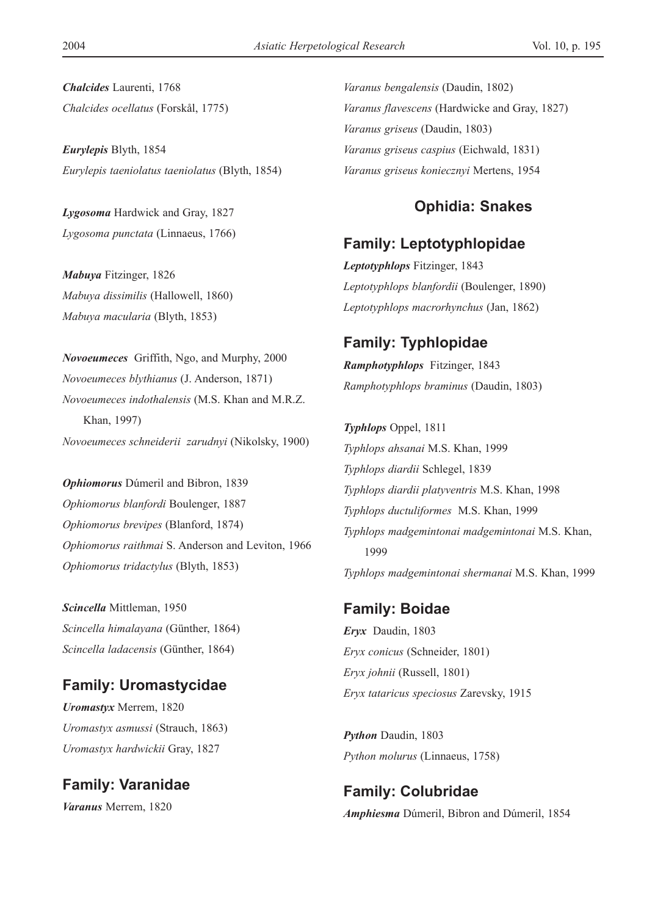*Chalcides* Laurenti, 1768 *Chalcides ocellatus* (Forskål, 1775)

*Eurylepis* Blyth, 1854 *Eurylepis taeniolatus taeniolatus* (Blyth, 1854)

*Lygosoma* Hardwick and Gray, 1827 *Lygosoma punctata* (Linnaeus, 1766)

*Mabuya* Fitzinger, 1826 *Mabuya dissimilis* (Hallowell, 1860) *Mabuya macularia* (Blyth, 1853)

*Novoeumeces* Griffith, Ngo, and Murphy, 2000 *Novoeumeces blythianus* (J. Anderson, 1871) *Novoeumeces indothalensis* (M.S. Khan and M.R.Z. Khan, 1997) *Novoeumeces schneiderii zarudnyi* (Nikolsky, 1900)

*Ophiomorus* Dúmeril and Bibron, 1839 *Ophiomorus blanfordi* Boulenger, 1887 *Ophiomorus brevipes* (Blanford, 1874) *Ophiomorus raithmai* S. Anderson and Leviton, 1966 *Ophiomorus tridactylus* (Blyth, 1853)

*Scincella* Mittleman, 1950 *Scincella himalayana* (Günther, 1864) *Scincella ladacensis* (Günther, 1864)

#### **Family: Uromastycidae**

*Uromastyx* Merrem, 1820 *Uromastyx asmussi* (Strauch, 1863) *Uromastyx hardwickii* Gray, 1827

**Family: Varanidae** *Varanus* Merrem, 1820

*Varanus bengalensis* (Daudin, 1802) *Varanus flavescens* (Hardwicke and Gray, 1827) *Varanus griseus* (Daudin, 1803) *Varanus griseus caspius* (Eichwald, 1831) *Varanus griseus koniecznyi* Mertens, 1954

#### **Ophidia: Snakes**

## **Family: Leptotyphlopidae**

*Leptotyphlops* Fitzinger, 1843 *Leptotyphlops blanfordii* (Boulenger, 1890) *Leptotyphlops macrorhynchus* (Jan, 1862)

### **Family: Typhlopidae**

*Ramphotyphlops* Fitzinger, 1843 *Ramphotyphlops braminus* (Daudin, 1803)

*Typhlops* Oppel, 1811 *Typhlops ahsanai* M.S. Khan, 1999 *Typhlops diardii* Schlegel, 1839 *Typhlops diardii platyventris* M.S. Khan, 1998 *Typhlops ductuliformes* M.S. Khan, 1999 *Typhlops madgemintonai madgemintonai* M.S. Khan, 1999 *Typhlops madgemintonai shermanai* M.S. Khan, 1999

**Family: Boidae** *Eryx* Daudin, 1803 *Eryx conicus* (Schneider, 1801) *Eryx johnii* (Russell, 1801) *Eryx tataricus speciosus* Zarevsky, 1915

*Python* Daudin, 1803 *Python molurus* (Linnaeus, 1758)

**Family: Colubridae**  *Amphiesma* Dúmeril, Bibron and Dúmeril, 1854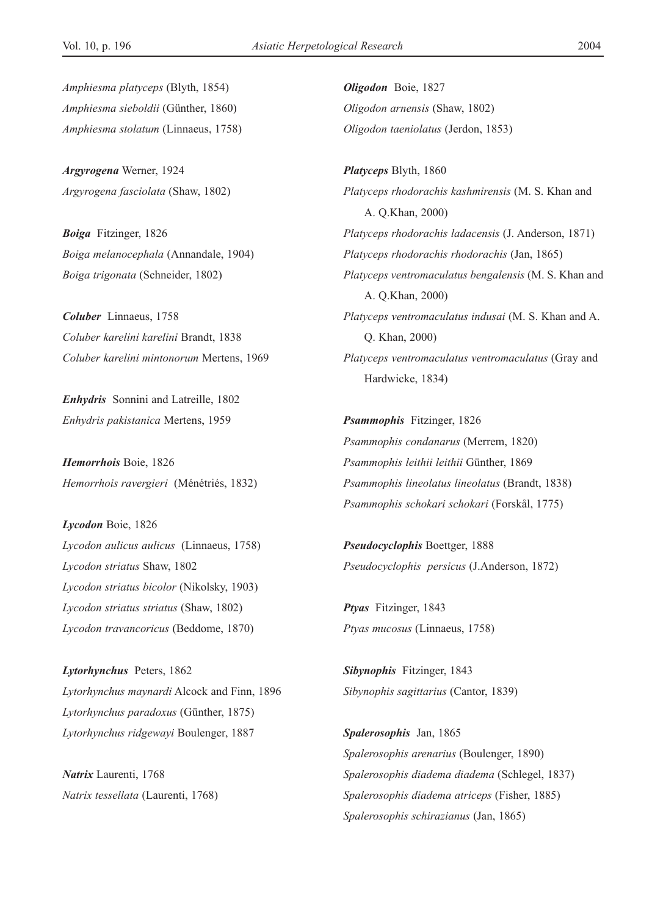*Amphiesma platyceps* (Blyth, 1854) *Amphiesma sieboldii* (Günther, 1860) *Amphiesma stolatum* (Linnaeus, 1758)

*Argyrogena* Werner, 1924 *Argyrogena fasciolata* (Shaw, 1802)

*Boiga* Fitzinger, 1826 *Boiga melanocephala* (Annandale, 1904) *Boiga trigonata* (Schneider, 1802)

*Coluber* Linnaeus, 1758 *Coluber karelini karelini* Brandt, 1838 *Coluber karelini mintonorum* Mertens, 1969

*Enhydris* Sonnini and Latreille, 1802 *Enhydris pakistanica* Mertens, 1959

*Hemorrhois* Boie, 1826 *Hemorrhois ravergieri* (Ménétriés, 1832)

*Lycodon* Boie, 1826 *Lycodon aulicus aulicus* (Linnaeus, 1758) *Lycodon striatus* Shaw, 1802 *Lycodon striatus bicolor* (Nikolsky, 1903) *Lycodon striatus striatus* (Shaw, 1802) *Lycodon travancoricus* (Beddome, 1870)

*Lytorhynchus* Peters, 1862 *Lytorhynchus maynardi* Alcock and Finn, 1896 *Lytorhynchus paradoxus* (Günther, 1875) *Lytorhynchus ridgewayi* Boulenger, 1887

*Natrix* Laurenti, 1768 *Natrix tessellata* (Laurenti, 1768) *Oligodon* Boie, 1827 *Oligodon arnensis* (Shaw, 1802) *Oligodon taeniolatus* (Jerdon, 1853)

*Platyceps* Blyth, 1860 *Platyceps rhodorachis kashmirensis* (M. S. Khan and A. Q.Khan, 2000) *Platyceps rhodorachis ladacensis* (J. Anderson, 1871) *Platyceps rhodorachis rhodorachis* (Jan, 1865) *Platyceps ventromaculatus bengalensis* (M. S. Khan and A. Q.Khan, 2000) *Platyceps ventromaculatus indusai* (M. S. Khan and A. Q. Khan, 2000) *Platyceps ventromaculatus ventromaculatus* (Gray and Hardwicke, 1834)

*Psammophis* Fitzinger, 1826 *Psammophis condanarus* (Merrem, 1820) *Psammophis leithii leithii* Günther, 1869 *Psammophis lineolatus lineolatus* (Brandt, 1838) *Psammophis schokari schokari* (Forskål, 1775)

*Pseudocyclophis* Boettger, 1888 *Pseudocyclophis persicus* (J.Anderson, 1872)

*Ptyas* Fitzinger, 1843 *Ptyas mucosus* (Linnaeus, 1758)

*Sibynophis* Fitzinger, 1843 *Sibynophis sagittarius* (Cantor, 1839)

*Spalerosophis* Jan, 1865 *Spalerosophis arenarius* (Boulenger, 1890) *Spalerosophis diadema diadema* (Schlegel, 1837) *Spalerosophis diadema atriceps* (Fisher, 1885) *Spalerosophis schirazianus* (Jan, 1865)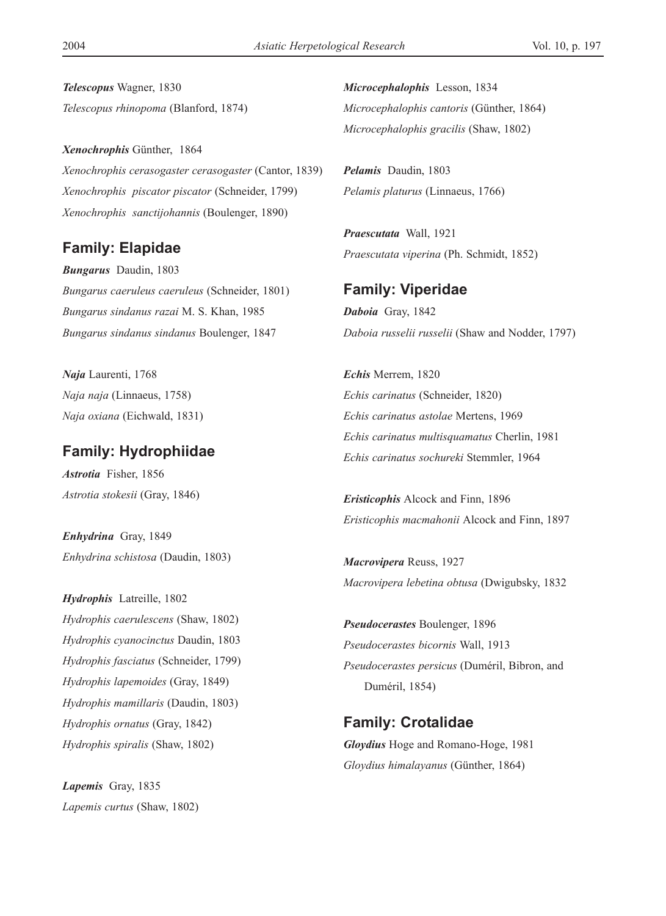*Telescopus* Wagner, 1830 *Telescopus rhinopoma* (Blanford, 1874)

*Xenochrophis* Günther, 1864 *Xenochrophis cerasogaster cerasogaster* (Cantor, 1839) *Xenochrophis piscator piscator* (Schneider, 1799) *Xenochrophis sanctijohannis* (Boulenger, 1890)

# **Family: Elapidae**

*Bungarus* Daudin, 1803 *Bungarus caeruleus caeruleus* (Schneider, 1801) *Bungarus sindanus razai* M. S. Khan, 1985 *Bungarus sindanus sindanus* Boulenger, 1847

*Naja* Laurenti, 1768 *Naja naja* (Linnaeus, 1758) *Naja oxiana* (Eichwald, 1831)

## **Family: Hydrophiidae**

*Astrotia* Fisher, 1856 *Astrotia stokesii* (Gray, 1846)

*Enhydrina* Gray, 1849 *Enhydrina schistosa* (Daudin, 1803)

*Hydrophis* Latreille, 1802 *Hydrophis caerulescens* (Shaw, 1802) *Hydrophis cyanocinctus* Daudin, 1803 *Hydrophis fasciatus* (Schneider, 1799) *Hydrophis lapemoides* (Gray, 1849) *Hydrophis mamillaris* (Daudin, 1803) *Hydrophis ornatus* (Gray, 1842) *Hydrophis spiralis* (Shaw, 1802)

*Lapemis* Gray, 1835 *Lapemis curtus* (Shaw, 1802) *Microcephalophis* Lesson, 1834 *Microcephalophis cantoris* (Günther, 1864) *Microcephalophis gracilis* (Shaw, 1802)

*Pelamis* Daudin, 1803 *Pelamis platurus* (Linnaeus, 1766)

*Praescutata* Wall, 1921 *Praescutata viperina* (Ph. Schmidt, 1852)

### **Family: Viperidae**

*Daboia* Gray, 1842 *Daboia russelii russelii* (Shaw and Nodder, 1797)

*Echis* Merrem, 1820 *Echis carinatus* (Schneider, 1820) *Echis carinatus astolae* Mertens, 1969 *Echis carinatus multisquamatus* Cherlin, 1981 *Echis carinatus sochureki* Stemmler, 1964

*Eristicophis* Alcock and Finn, 1896 *Eristicophis macmahonii* Alcock and Finn, 1897

*Macrovipera* Reuss, 1927 *Macrovipera lebetina obtusa* (Dwigubsky, 1832

*Pseudocerastes* Boulenger, 1896 *Pseudocerastes bicornis* Wall, 1913 *Pseudocerastes persicus* (Duméril, Bibron, and Duméril, 1854)

### **Family: Crotalidae**

*Gloydius* Hoge and Romano-Hoge, 1981 *Gloydius himalayanus* (Günther, 1864)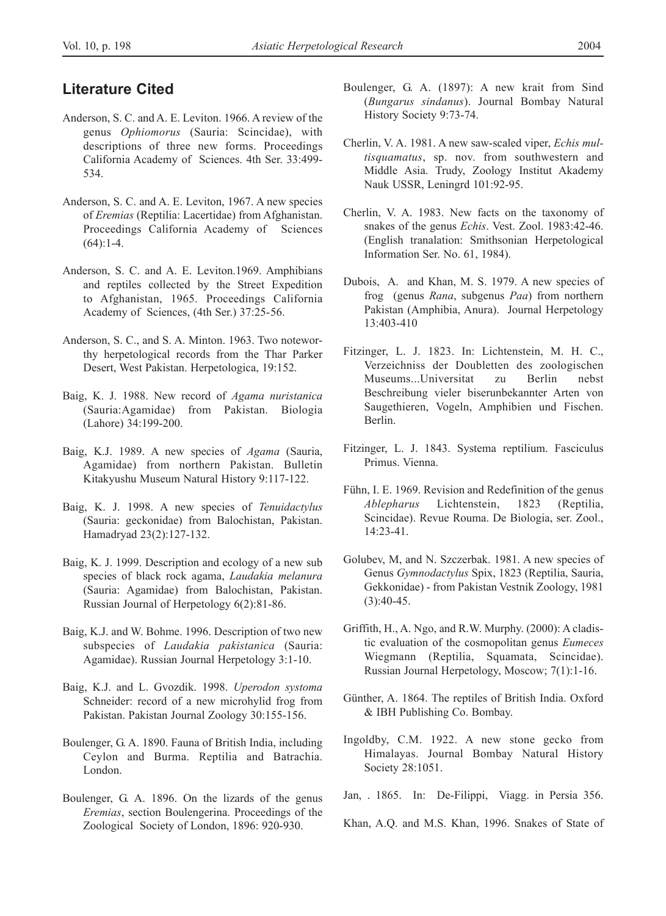### **Literature Cited**

- Anderson, S. C. and A. E. Leviton. 1966. A review of the genus *Ophiomorus* (Sauria: Scincidae), with descriptions of three new forms. Proceedings California Academy of Sciences. 4th Ser. 33:499- 534.
- Anderson, S. C. and A. E. Leviton, 1967. A new species of *Eremias* (Reptilia: Lacertidae) from Afghanistan. Proceedings California Academy of Sciences  $(64):1-4.$
- Anderson, S. C. and A. E. Leviton.1969. Amphibians and reptiles collected by the Street Expedition to Afghanistan, 1965. Proceedings California Academy of Sciences, (4th Ser.) 37:25-56.
- Anderson, S. C., and S. A. Minton. 1963. Two noteworthy herpetological records from the Thar Parker Desert, West Pakistan. Herpetologica, 19:152.
- Baig, K. J. 1988. New record of *Agama nuristanica* (Sauria:Agamidae) from Pakistan. Biologia (Lahore) 34:199-200.
- Baig, K.J. 1989. A new species of *Agama* (Sauria, Agamidae) from northern Pakistan. Bulletin Kitakyushu Museum Natural History 9:117-122.
- Baig, K. J. 1998. A new species of *Tenuidactylus*  (Sauria: geckonidae) from Balochistan, Pakistan. Hamadryad 23(2):127-132.
- Baig, K. J. 1999. Description and ecology of a new sub species of black rock agama, *Laudakia melanura* (Sauria: Agamidae) from Balochistan, Pakistan. Russian Journal of Herpetology 6(2):81-86.
- Baig, K.J. and W. Bohme. 1996. Description of two new subspecies of *Laudakia pakistanica* (Sauria: Agamidae). Russian Journal Herpetology 3:1-10.
- Baig, K.J. and L. Gvozdik. 1998. *Uperodon systoma* Schneider: record of a new microhylid frog from Pakistan. Pakistan Journal Zoology 30:155-156.
- Boulenger, G. A. 1890. Fauna of British India, including Ceylon and Burma. Reptilia and Batrachia. London.
- Boulenger, G. A. 1896. On the lizards of the genus *Eremias*, section Boulengerina. Proceedings of the Zoological Society of London, 1896: 920-930.
- Boulenger, G. A. (1897): A new krait from Sind (*Bungarus sindanus*). Journal Bombay Natural History Society 9:73-74.
- Cherlin, V. A. 1981. A new saw-scaled viper, *Echis multisquamatus*, sp. nov. from southwestern and Middle Asia. Trudy, Zoology Institut Akademy Nauk USSR, Leningrd 101:92-95.
- Cherlin, V. A. 1983. New facts on the taxonomy of snakes of the genus *Echis*. Vest. Zool. 1983:42-46. (English tranalation: Smithsonian Herpetological Information Ser. No. 61, 1984).
- Dubois, A. and Khan, M. S. 1979. A new species of frog (genus *Rana*, subgenus *Paa*) from northern Pakistan (Amphibia, Anura). Journal Herpetology 13:403-410
- Fitzinger, L. J. 1823. In: Lichtenstein, M. H. C., Verzeichniss der Doubletten des zoologischen Museums...Universitat zu Berlin nebst Beschreibung vieler biserunbekannter Arten von Saugethieren, Vogeln, Amphibien und Fischen. Berlin.
- Fitzinger, L. J. 1843. Systema reptilium. Fasciculus Primus. Vienna.
- Fühn, I. E. 1969. Revision and Redefinition of the genus *Ablepharus* Lichtenstein, 1823 (Reptilia, Scincidae). Revue Rouma. De Biologia, ser. Zool., 14:23-41.
- Golubev, M, and N. Szczerbak. 1981. A new species of Genus *Gymnodactylus* Spix, 1823 (Reptilia, Sauria, Gekkonidae) - from Pakistan Vestnik Zoology, 1981  $(3):40-45.$
- Griffith, H., A. Ngo, and R.W. Murphy. (2000): A cladistic evaluation of the cosmopolitan genus *Eumeces* Wiegmann (Reptilia, Squamata, Scincidae). Russian Journal Herpetology, Moscow; 7(1):1-16.
- Günther, A. 1864. The reptiles of British India. Oxford & IBH Publishing Co. Bombay.
- Ingoldby, C.M. 1922. A new stone gecko from Himalayas. Journal Bombay Natural History Society 28:1051.

Jan, . 1865. In: De-Filippi, Viagg. in Persia 356.

Khan, A.Q. and M.S. Khan, 1996. Snakes of State of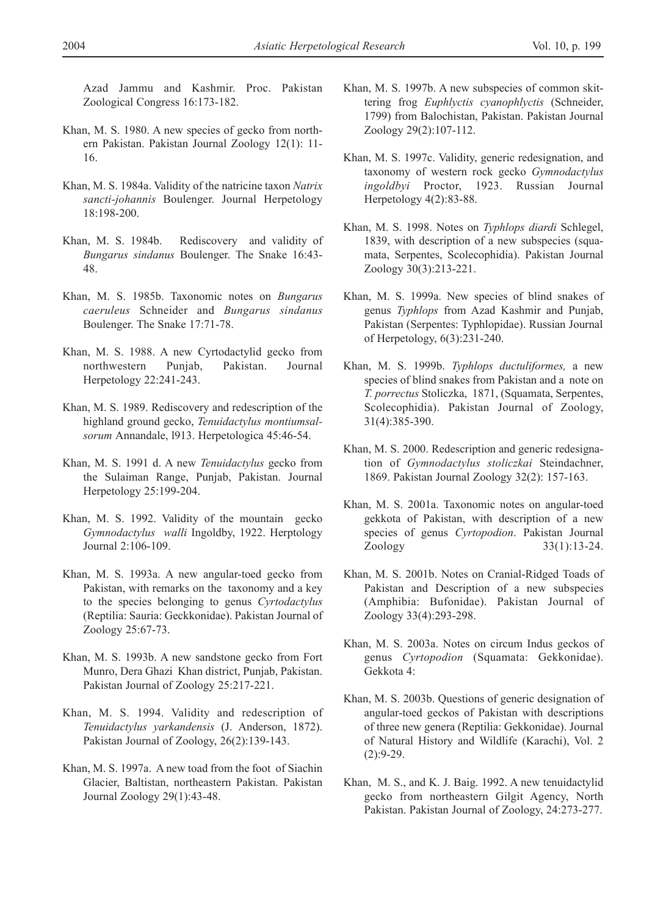- Khan, M. S. 1980. A new species of gecko from northern Pakistan. Pakistan Journal Zoology 12(1): 11- 16.
- Khan, M. S. 1984a. Validity of the natricine taxon *Natrix sancti-johannis* Boulenger. Journal Herpetology 18:198-200.
- Khan, M. S. 1984b. Rediscovery and validity of *Bungarus sindanus* Boulenger. The Snake 16:43- 48.
- Khan, M. S. 1985b. Taxonomic notes on *Bungarus caeruleus* Schneider and *Bungarus sindanus* Boulenger. The Snake 17:71-78.
- Khan, M. S. 1988. A new Cyrtodactylid gecko from northwestern Punjab, Pakistan. Journal Herpetology 22:241-243.
- Khan, M. S. 1989. Rediscovery and redescription of the highland ground gecko, *Tenuidactylus montiumsalsorum* Annandale, l913. Herpetologica 45:46-54.
- Khan, M. S. 1991 d. A new *Tenuidactylus* gecko from the Sulaiman Range, Punjab, Pakistan. Journal Herpetology 25:199-204.
- Khan, M. S. 1992. Validity of the mountain gecko *Gymnodactylus walli* Ingoldby, 1922. Herptology Journal 2:106-109.
- Khan, M. S. 1993a. A new angular-toed gecko from Pakistan, with remarks on the taxonomy and a key to the species belonging to genus *Cyrtodactylus* (Reptilia: Sauria: Geckkonidae). Pakistan Journal of Zoology 25:67-73.
- Khan, M. S. 1993b. A new sandstone gecko from Fort Munro, Dera Ghazi Khan district, Punjab, Pakistan. Pakistan Journal of Zoology 25:217-221.
- Khan, M. S. 1994. Validity and redescription of *Tenuidactylus yarkandensis* (J. Anderson, 1872). Pakistan Journal of Zoology, 26(2):139-143.
- Khan, M. S. 1997a. A new toad from the foot of Siachin Glacier, Baltistan, northeastern Pakistan. Pakistan Journal Zoology 29(1):43-48.
- Khan, M. S. 1997b. A new subspecies of common skittering frog *Euphlyctis cyanophlyctis* (Schneider, 1799) from Balochistan, Pakistan. Pakistan Journal Zoology 29(2):107-112.
- Khan, M. S. 1997c. Validity, generic redesignation, and taxonomy of western rock gecko *Gymnodactylus ingoldbyi* Proctor, 1923. Russian Journal Herpetology 4(2):83-88.
- Khan, M. S. 1998. Notes on *Typhlops diardi* Schlegel, 1839, with description of a new subspecies (squamata, Serpentes, Scolecophidia). Pakistan Journal Zoology 30(3):213-221.
- Khan, M. S. 1999a. New species of blind snakes of genus *Typhlops* from Azad Kashmir and Punjab, Pakistan (Serpentes: Typhlopidae). Russian Journal of Herpetology, 6(3):231-240.
- Khan, M. S. 1999b. *Typhlops ductuliformes,* a new species of blind snakes from Pakistan and a note on *T. porrectus* Stoliczka, 1871, (Squamata, Serpentes, Scolecophidia). Pakistan Journal of Zoology, 31(4):385-390.
- Khan, M. S. 2000. Redescription and generic redesignation of *Gymnodactylus stoliczkai* Steindachner, 1869. Pakistan Journal Zoology 32(2): 157-163.
- Khan, M. S. 2001a. Taxonomic notes on angular-toed gekkota of Pakistan, with description of a new species of genus *Cyrtopodion*. Pakistan Journal Zoology 33(1):13-24.
- Khan, M. S. 2001b. Notes on Cranial-Ridged Toads of Pakistan and Description of a new subspecies (Amphibia: Bufonidae). Pakistan Journal of Zoology 33(4):293-298.
- Khan, M. S. 2003a. Notes on circum Indus geckos of genus *Cyrtopodion* (Squamata: Gekkonidae). Gekkota 4:
- Khan, M. S. 2003b. Questions of generic designation of angular-toed geckos of Pakistan with descriptions of three new genera (Reptilia: Gekkonidae). Journal of Natural History and Wildlife (Karachi), Vol. 2  $(2):9-29.$
- Khan, M. S., and K. J. Baig. 1992. A new tenuidactylid gecko from northeastern Gilgit Agency, North Pakistan. Pakistan Journal of Zoology, 24:273-277.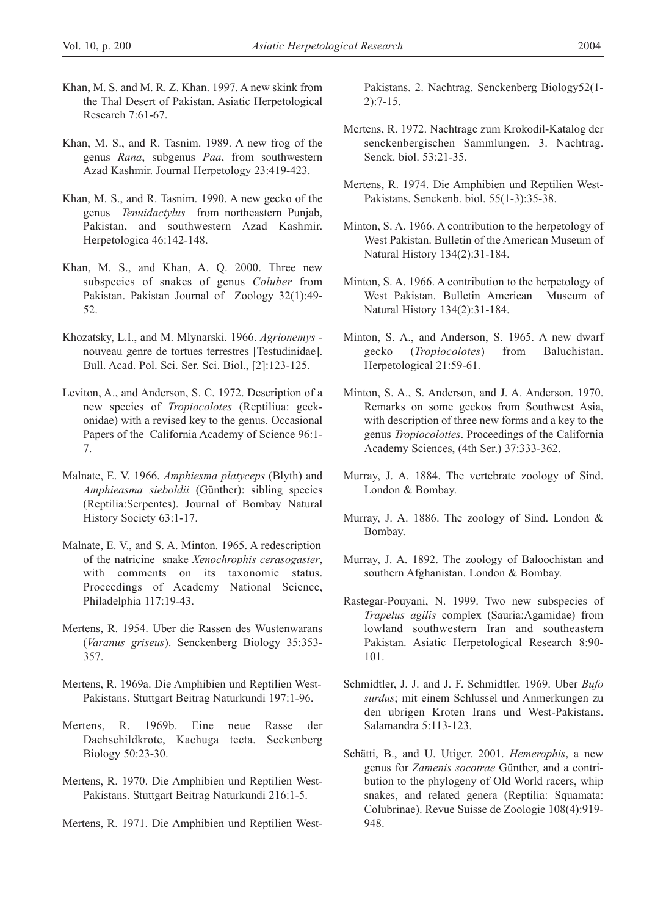- Khan, M. S. and M. R. Z. Khan. 1997. A new skink from the Thal Desert of Pakistan. Asiatic Herpetological Research 7:61-67.
- Khan, M. S., and R. Tasnim. 1989. A new frog of the genus *Rana*, subgenus *Paa*, from southwestern Azad Kashmir. Journal Herpetology 23:419-423.
- Khan, M. S., and R. Tasnim. 1990. A new gecko of the genus *Tenuidactylus* from northeastern Punjab, Pakistan, and southwestern Azad Kashmir. Herpetologica 46:142-148.
- Khan, M. S., and Khan, A. Q. 2000. Three new subspecies of snakes of genus *Coluber* from Pakistan. Pakistan Journal of Zoology 32(1):49- 52.
- Khozatsky, L.I., and M. Mlynarski. 1966. *Agrionemys* nouveau genre de tortues terrestres [Testudinidae]. Bull. Acad. Pol. Sci. Ser. Sci. Biol., [2]:123-125.
- Leviton, A., and Anderson, S. C. 1972. Description of a new species of *Tropiocolotes* (Reptiliua: geckonidae) with a revised key to the genus. Occasional Papers of the California Academy of Science 96:1- 7.
- Malnate, E. V. 1966. *Amphiesma platyceps* (Blyth) and *Amphieasma sieboldii* (Günther): sibling species (Reptilia:Serpentes). Journal of Bombay Natural History Society 63:1-17.
- Malnate, E. V., and S. A. Minton. 1965. A redescription of the natricine snake *Xenochrophis cerasogaster*, with comments on its taxonomic status. Proceedings of Academy National Science, Philadelphia 117:19-43.
- Mertens, R. 1954. Uber die Rassen des Wustenwarans (*Varanus griseus*). Senckenberg Biology 35:353- 357.
- Mertens, R. 1969a. Die Amphibien und Reptilien West-Pakistans. Stuttgart Beitrag Naturkundi 197:1-96.
- Mertens, R. 1969b. Eine neue Rasse der Dachschildkrote, Kachuga tecta. Seckenberg Biology 50:23-30.
- Mertens, R. 1970. Die Amphibien und Reptilien West-Pakistans. Stuttgart Beitrag Naturkundi 216:1-5.
- Mertens, R. 1971. Die Amphibien und Reptilien West-

Pakistans. 2. Nachtrag. Senckenberg Biology52(1- 2):7-15.

- Mertens, R. 1972. Nachtrage zum Krokodil-Katalog der senckenbergischen Sammlungen. 3. Nachtrag. Senck. biol. 53:21-35.
- Mertens, R. 1974. Die Amphibien und Reptilien West-Pakistans. Senckenb. biol. 55(1-3):35-38.
- Minton, S. A. 1966. A contribution to the herpetology of West Pakistan. Bulletin of the American Museum of Natural History 134(2):31-184.
- Minton, S. A. 1966. A contribution to the herpetology of West Pakistan. Bulletin American Museum of Natural History 134(2):31-184.
- Minton, S. A., and Anderson, S. 1965. A new dwarf gecko (*Tropiocolotes*) from Baluchistan. Herpetological 21:59-61.
- Minton, S. A., S. Anderson, and J. A. Anderson. 1970. Remarks on some geckos from Southwest Asia, with description of three new forms and a key to the genus *Tropiocoloties*. Proceedings of the California Academy Sciences, (4th Ser.) 37:333-362.
- Murray, J. A. 1884. The vertebrate zoology of Sind. London & Bombay.
- Murray, J. A. 1886. The zoology of Sind. London & Bombay.
- Murray, J. A. 1892. The zoology of Baloochistan and southern Afghanistan. London & Bombay.
- Rastegar-Pouyani, N. 1999. Two new subspecies of *Trapelus agilis* complex (Sauria:Agamidae) from lowland southwestern Iran and southeastern Pakistan. Asiatic Herpetological Research 8:90- 101.
- Schmidtler, J. J. and J. F. Schmidtler. 1969. Uber *Bufo surdus*; mit einem Schlussel und Anmerkungen zu den ubrigen Kroten Irans und West-Pakistans. Salamandra 5:113-123.
- Schätti, B., and U. Utiger. 2001. *Hemerophis*, a new genus for *Zamenis socotrae* Günther, and a contribution to the phylogeny of Old World racers, whip snakes, and related genera (Reptilia: Squamata: Colubrinae). Revue Suisse de Zoologie 108(4):919- 948.